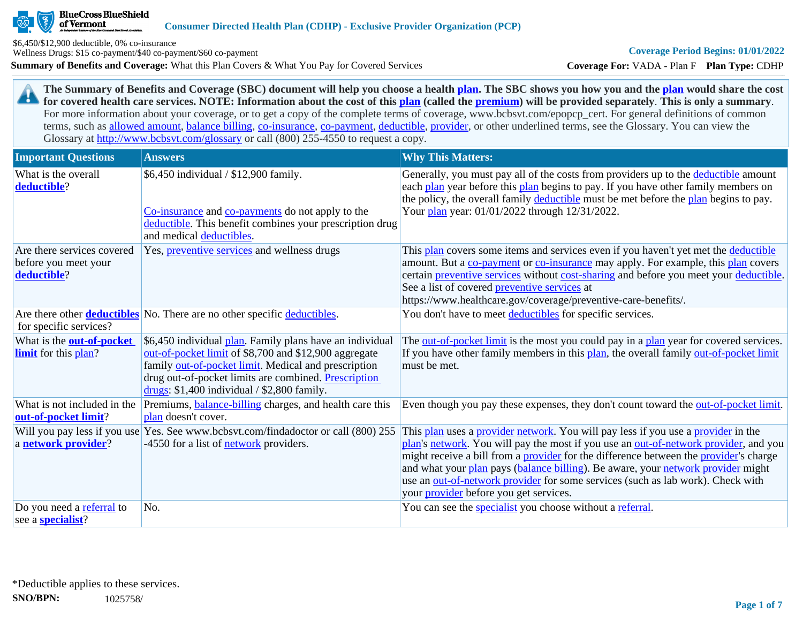

of Vermont

**Summary of Benefits and Coverage:** What this Plan Covers & What You Pay for Covered Services \$6,450/\$12,900 deductible, 0% co-insurance Wellness Drugs: \$15 co-payment/\$40 co-payment/\$60 co-payment

**Coverage For:** VADA - Plan F **Plan Type:** CDHP

**The Summary of Benefits and Coverage (SBC) document will help you choose a health [plan](https://www.healthcare.gov/sbc-glossary/#plan). The SBC shows you how you and the [plan](https://www.healthcare.gov/sbc-glossary/#plan) would share the cost**  29 **for covered health care services. NOTE: Information about the cost of this [plan](https://www.healthcare.gov/sbc-glossary/#plan) (called the [premium](https://www.healthcare.gov/sbc-glossary/#premium)) will be provided separately**. **This is only a summary**. For more information about your coverage, or to get a copy of the complete terms of coverage, www.bcbsvt.com/epopcp\_cert. For general definitions of common terms, such as [allowed amount](https://www.healthcare.gov/sbc-glossary/#allowed-amount), [balance billing,](https://www.healthcare.gov/sbc-glossary/#balance-billing) [co-insurance,](https://www.healthcare.gov/sbc-glossary/#coinsurance) [co-payment,](https://www.healthcare.gov/sbc-glossary/#copayment) [deductible](https://www.healthcare.gov/sbc-glossary/#deductible), [provider,](https://www.healthcare.gov/sbc-glossary/#provider) or other underlined terms, see the Glossary. You can view the Glossary at <http://www.bcbsvt.com/glossary>or call (800) 255-4550 to request a copy.

| <b>Important Questions</b>                                        | <b>Answers</b>                                                                                                                                                                                                                                                                     | <b>Why This Matters:</b>                                                                                                                                                                                                                                                                                                                                                                                                                                                                                  |
|-------------------------------------------------------------------|------------------------------------------------------------------------------------------------------------------------------------------------------------------------------------------------------------------------------------------------------------------------------------|-----------------------------------------------------------------------------------------------------------------------------------------------------------------------------------------------------------------------------------------------------------------------------------------------------------------------------------------------------------------------------------------------------------------------------------------------------------------------------------------------------------|
| What is the overall<br>deductible?                                | \$6,450 individual / \$12,900 family.<br>Co-insurance and co-payments do not apply to the<br>deductible. This benefit combines your prescription drug<br>and medical deductibles.                                                                                                  | Generally, you must pay all of the costs from providers up to the deductible amount<br>each plan year before this plan begins to pay. If you have other family members on<br>the policy, the overall family deductible must be met before the plan begins to pay.<br>Your plan year: 01/01/2022 through 12/31/2022.                                                                                                                                                                                       |
| Are there services covered<br>before you meet your<br>deductible? | Yes, <i>preventive services</i> and wellness drugs                                                                                                                                                                                                                                 | This plan covers some items and services even if you haven't yet met the deductible<br>amount. But a co-payment or co-insurance may apply. For example, this plan covers<br>certain preventive services without cost-sharing and before you meet your deductible.<br>See a list of covered preventive services at<br>https://www.healthcare.gov/coverage/preventive-care-benefits/.                                                                                                                       |
| for specific services?                                            | Are there other <b>deductibles</b> No. There are no other specific deductibles.                                                                                                                                                                                                    | You don't have to meet deductibles for specific services.                                                                                                                                                                                                                                                                                                                                                                                                                                                 |
| What is the <b>out-of-pocket</b><br><b>limit</b> for this plan?   | \$6,450 individual plan. Family plans have an individual<br>out-of-pocket limit of \$8,700 and \$12,900 aggregate<br>family out-of-pocket limit. Medical and prescription<br>drug out-of-pocket limits are combined. Prescription<br>drugs: $$1,400$ individual / $$2,800$ family. | The out-of-pocket limit is the most you could pay in a plan year for covered services.<br>If you have other family members in this plan, the overall family out-of-pocket limit<br>must be met.                                                                                                                                                                                                                                                                                                           |
| What is not included in the<br>out-of-pocket limit?               | Premiums, <b>balance-billing</b> charges, and health care this<br>plan doesn't cover.                                                                                                                                                                                              | Even though you pay these expenses, they don't count toward the <u>out-of-pocket limit</u> .                                                                                                                                                                                                                                                                                                                                                                                                              |
| Will you pay less if you use<br>a network provider?               | Yes. See www.bcbsvt.com/findadoctor or call (800) 255<br>-4550 for a list of <b>network</b> providers.                                                                                                                                                                             | This plan uses a provider network. You will pay less if you use a provider in the<br>plan's network. You will pay the most if you use an out-of-network provider, and you<br>might receive a bill from a <b>provider</b> for the difference between the <b>provider</b> 's charge<br>and what your plan pays (balance billing). Be aware, your network provider might<br>use an out-of-network provider for some services (such as lab work). Check with<br>your <i>provider</i> before you get services. |
| Do you need a referral to<br>see a <b>specialist</b> ?            | No.                                                                                                                                                                                                                                                                                | You can see the specialist you choose without a referral.                                                                                                                                                                                                                                                                                                                                                                                                                                                 |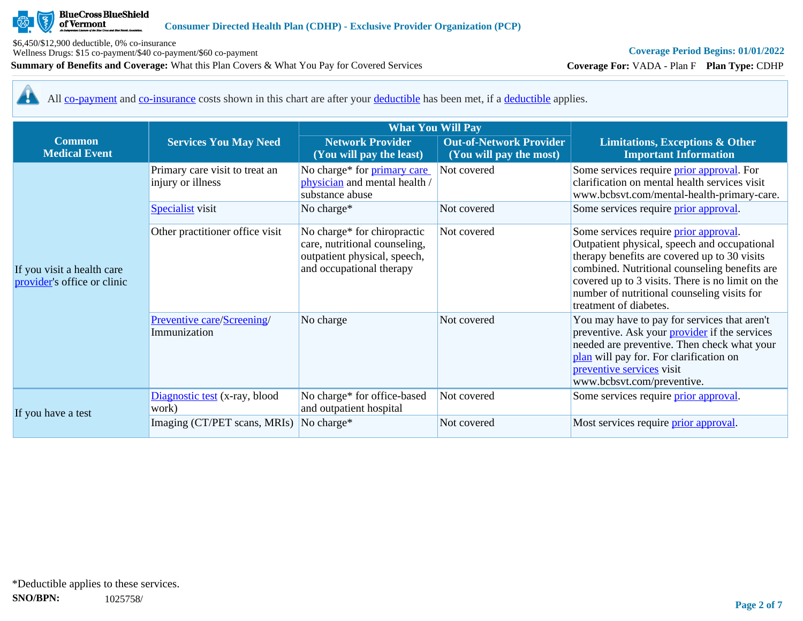

Wellness Drugs: \$15 co-payment/\$40 co-payment/\$60 co-payment

**Summary of Benefits and Coverage:** What this Plan Covers & What You Pay for Covered Services

# **Coverage Period Begins: 01/01/2022**

**Coverage For:** VADA - Plan F **Plan Type:** CDHP

All [co-payment](https://www.healthcare.gov/sbc-glossary/#copayment) and [co-insurance](https://www.healthcare.gov/sbc-glossary/#coinsurance) costs shown in this chart are after your [deductible](https://www.healthcare.gov/sbc-glossary/#deductible) has been met, if a [deductible](https://www.healthcare.gov/sbc-glossary/#deductible) applies. 44

|                                                           |                                                     | <b>What You Will Pay</b>                                                                                                 |                                                           |                                                                                                                                                                                                                                                                                                                     |
|-----------------------------------------------------------|-----------------------------------------------------|--------------------------------------------------------------------------------------------------------------------------|-----------------------------------------------------------|---------------------------------------------------------------------------------------------------------------------------------------------------------------------------------------------------------------------------------------------------------------------------------------------------------------------|
| <b>Common</b><br><b>Medical Event</b>                     | <b>Services You May Need</b>                        | <b>Network Provider</b><br>(You will pay the least)                                                                      | <b>Out-of-Network Provider</b><br>(You will pay the most) | <b>Limitations, Exceptions &amp; Other</b><br><b>Important Information</b>                                                                                                                                                                                                                                          |
|                                                           | Primary care visit to treat an<br>injury or illness | No charge* for primary care<br>physician and mental health /<br>substance abuse                                          | Not covered                                               | Some services require <i>prior approval</i> . For<br>clarification on mental health services visit<br>www.bcbsvt.com/mental-health-primary-care.                                                                                                                                                                    |
|                                                           | <b>Specialist</b> visit                             | No charge*                                                                                                               | Not covered                                               | Some services require prior approval.                                                                                                                                                                                                                                                                               |
| If you visit a health care<br>provider's office or clinic | Other practitioner office visit                     | No charge* for chiropractic<br>care, nutritional counseling,<br>outpatient physical, speech,<br>and occupational therapy | Not covered                                               | Some services require prior approval.<br>Outpatient physical, speech and occupational<br>therapy benefits are covered up to 30 visits<br>combined. Nutritional counseling benefits are<br>covered up to 3 visits. There is no limit on the<br>number of nutritional counseling visits for<br>treatment of diabetes. |
|                                                           | Preventive care/Screening/<br>Immunization          | No charge                                                                                                                | Not covered                                               | You may have to pay for services that aren't<br>preventive. Ask your <b>provider</b> if the services<br>needed are preventive. Then check what your<br>plan will pay for. For clarification on<br>preventive services visit<br>www.bcbsvt.com/preventive.                                                           |
|                                                           | Diagnostic test (x-ray, blood<br>work)              | No charge* for office-based<br>and outpatient hospital                                                                   | Not covered                                               | Some services require <i>prior approval</i> .                                                                                                                                                                                                                                                                       |
| If you have a test                                        | Imaging (CT/PET scans, MRIs)                        | No charge*                                                                                                               | Not covered                                               | Most services require <i>prior approval</i> .                                                                                                                                                                                                                                                                       |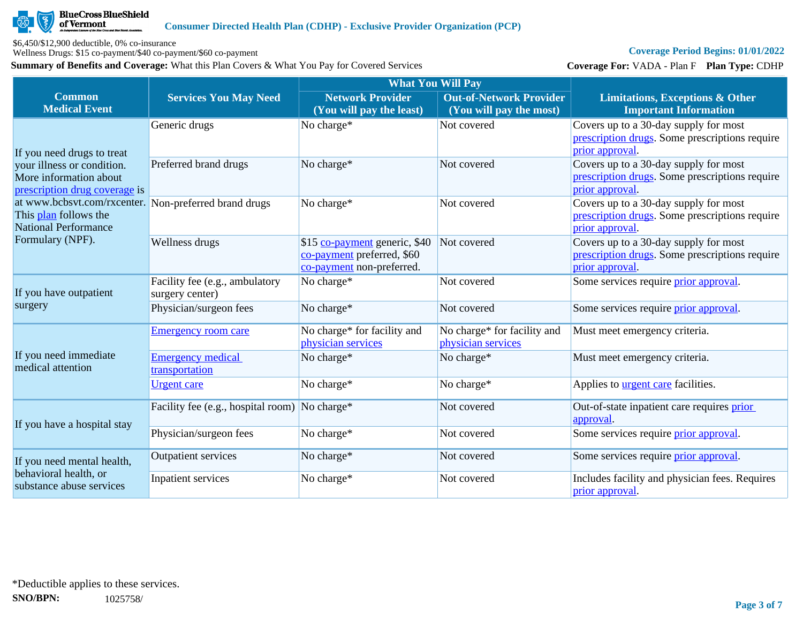

Wellness Drugs: \$15 co-payment/\$40 co-payment/\$60 co-payment

**Summary of Benefits and Coverage:** What this Plan Covers & What You Pay for Covered Services

# **Coverage Period Begins: 01/01/2022**

**Coverage For:** VADA - Plan F **Plan Type:** CDHP

|                                                                                                               |                                                   | <b>What You Will Pay</b>                                                                 |                                                           |                                                                                                            |  |
|---------------------------------------------------------------------------------------------------------------|---------------------------------------------------|------------------------------------------------------------------------------------------|-----------------------------------------------------------|------------------------------------------------------------------------------------------------------------|--|
| <b>Common</b><br><b>Medical Event</b>                                                                         | <b>Services You May Need</b>                      | <b>Network Provider</b><br>(You will pay the least)                                      | <b>Out-of-Network Provider</b><br>(You will pay the most) | <b>Limitations, Exceptions &amp; Other</b><br><b>Important Information</b>                                 |  |
| If you need drugs to treat                                                                                    | Generic drugs                                     | No charge*                                                                               | Not covered                                               | Covers up to a 30-day supply for most<br>prescription drugs. Some prescriptions require<br>prior approval. |  |
| your illness or condition.<br>More information about<br>prescription drug coverage is                         | Preferred brand drugs                             | No charge*                                                                               | Not covered                                               | Covers up to a 30-day supply for most<br>prescription drugs. Some prescriptions require<br>prior approval. |  |
| at www.bcbsvt.com/rxcenter. Non-preferred brand drugs<br>This plan follows the<br><b>National Performance</b> |                                                   | No charge*                                                                               | Not covered                                               | Covers up to a 30-day supply for most<br>prescription drugs. Some prescriptions require<br>prior approval  |  |
| Formulary (NPF).                                                                                              | Wellness drugs                                    | \$15 co-payment generic, \$40<br>co-payment preferred, \$60<br>co-payment non-preferred. | Not covered                                               | Covers up to a 30-day supply for most<br>prescription drugs. Some prescriptions require<br>prior approval. |  |
| If you have outpatient<br>surgery                                                                             | Facility fee (e.g., ambulatory<br>surgery center) | No charge*                                                                               | Not covered                                               | Some services require prior approval.                                                                      |  |
|                                                                                                               | Physician/surgeon fees                            | No charge*                                                                               | Not covered                                               | Some services require prior approval.                                                                      |  |
|                                                                                                               | <b>Emergency room care</b>                        | No charge* for facility and<br>physician services                                        | No charge* for facility and<br>physician services         | Must meet emergency criteria.                                                                              |  |
| If you need immediate<br>medical attention                                                                    | <b>Emergency medical</b><br>transportation        | No charge*                                                                               | No charge*                                                | Must meet emergency criteria.                                                                              |  |
|                                                                                                               | <b>Urgent</b> care                                | No charge*                                                                               | No charge*                                                | Applies to <b>urgent care</b> facilities.                                                                  |  |
| If you have a hospital stay                                                                                   | Facility fee (e.g., hospital room) No charge*     |                                                                                          | Not covered                                               | Out-of-state inpatient care requires prior<br>approval.                                                    |  |
|                                                                                                               | Physician/surgeon fees                            | No charge*                                                                               | Not covered                                               | Some services require prior approval.                                                                      |  |
| If you need mental health,                                                                                    | <b>Outpatient services</b>                        | No charge*                                                                               | Not covered                                               | Some services require prior approval.                                                                      |  |
| behavioral health, or<br>substance abuse services                                                             | Inpatient services                                | No charge*                                                                               | Not covered                                               | Includes facility and physician fees. Requires<br>prior approval.                                          |  |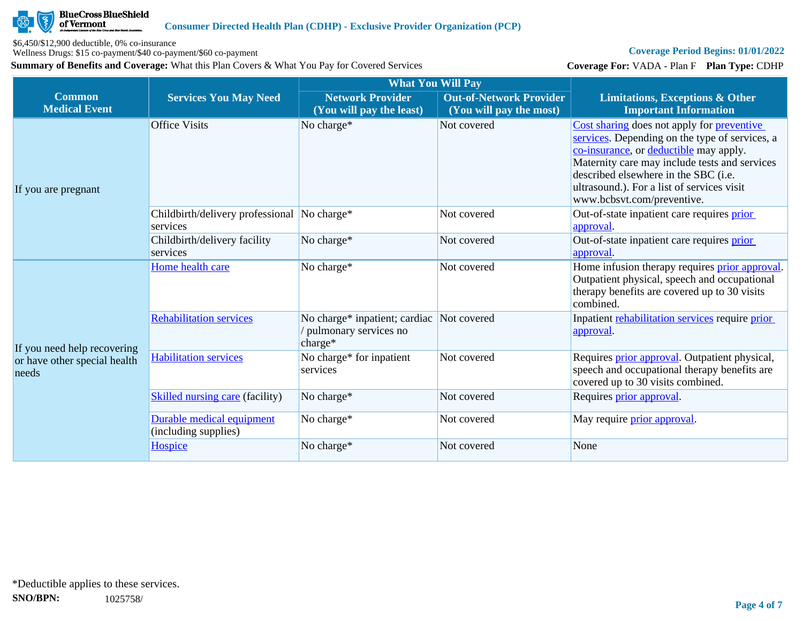

Wellness Drugs: \$15 co-payment/\$40 co-payment/\$60 co-payment

**Summary of Benefits and Coverage:** What this Plan Covers & What You Pay for Covered Services

# **Coverage Period Begins: 01/01/2022**

**Coverage For:** VADA - Plan F **Plan Type:** CDHP

|                                                                      |                                                         | <b>What You Will Pay</b>                                          |                                                           |                                                                                                                                                                                                                                                                                                                    |
|----------------------------------------------------------------------|---------------------------------------------------------|-------------------------------------------------------------------|-----------------------------------------------------------|--------------------------------------------------------------------------------------------------------------------------------------------------------------------------------------------------------------------------------------------------------------------------------------------------------------------|
| <b>Common</b><br><b>Medical Event</b>                                | <b>Services You May Need</b>                            | <b>Network Provider</b><br>(You will pay the least)               | <b>Out-of-Network Provider</b><br>(You will pay the most) | <b>Limitations, Exceptions &amp; Other</b><br><b>Important Information</b>                                                                                                                                                                                                                                         |
| If you are pregnant                                                  | <b>Office Visits</b>                                    | No charge*                                                        | Not covered                                               | Cost sharing does not apply for <b>preventive</b><br>services. Depending on the type of services, a<br>co-insurance, or deductible may apply.<br>Maternity care may include tests and services<br>described elsewhere in the SBC (i.e.<br>ultrasound.). For a list of services visit<br>www.bcbsvt.com/preventive. |
|                                                                      | Childbirth/delivery professional No charge*<br>services |                                                                   | Not covered                                               | Out-of-state inpatient care requires prior<br>approval.                                                                                                                                                                                                                                                            |
|                                                                      | Childbirth/delivery facility<br>services                | No charge*                                                        | Not covered                                               | Out-of-state inpatient care requires prior<br>approval.                                                                                                                                                                                                                                                            |
| If you need help recovering<br>or have other special health<br>needs | Home health care                                        | No charge*                                                        | Not covered                                               | Home infusion therapy requires <b>prior approval</b> .<br>Outpatient physical, speech and occupational<br>therapy benefits are covered up to 30 visits<br>combined.                                                                                                                                                |
|                                                                      | <b>Rehabilitation services</b>                          | No charge* inpatient; cardiac<br>pulmonary services no<br>charge* | Not covered                                               | Inpatient rehabilitation services require prior<br>approval.                                                                                                                                                                                                                                                       |
|                                                                      | <b>Habilitation services</b>                            | No charge* for inpatient<br>services                              | Not covered                                               | Requires <i>prior approval</i> . Outpatient physical,<br>speech and occupational therapy benefits are<br>covered up to 30 visits combined.                                                                                                                                                                         |
|                                                                      | <b>Skilled nursing care (facility)</b>                  | No charge*                                                        | Not covered                                               | Requires prior approval.                                                                                                                                                                                                                                                                                           |
|                                                                      | Durable medical equipment<br>(including supplies)       | No charge*                                                        | Not covered                                               | May require <i>prior</i> approval.                                                                                                                                                                                                                                                                                 |
|                                                                      | Hospice                                                 | No charge*                                                        | Not covered                                               | None                                                                                                                                                                                                                                                                                                               |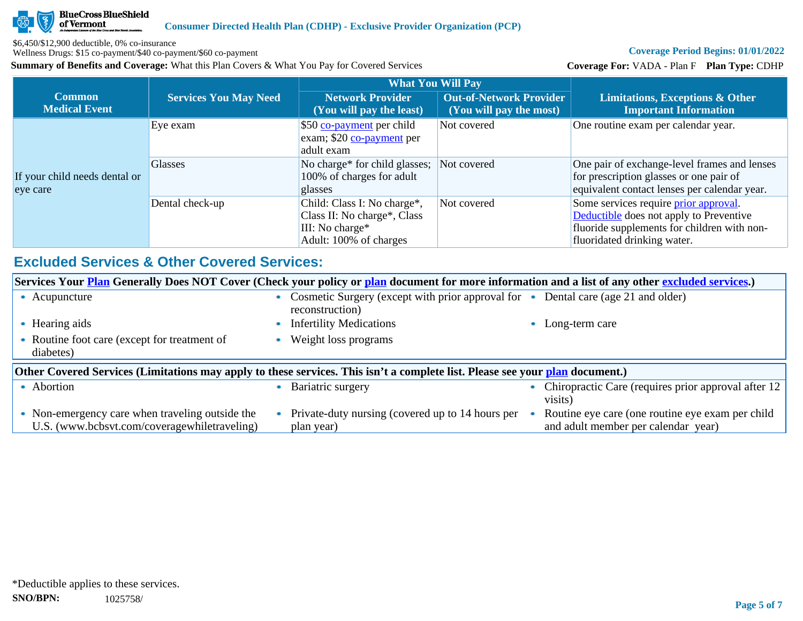

Wellness Drugs: \$15 co-payment/\$40 co-payment/\$60 co-payment

**Summary of Benefits and Coverage:** What this Plan Covers & What You Pay for Covered Services

# **Coverage Period Begins: 01/01/2022**

**Coverage For:** VADA - Plan F **Plan Type:** CDHP

|                                           |                              | <b>What You Will Pay</b>                                                                                |                                                           |                                                                                                                                                                       |
|-------------------------------------------|------------------------------|---------------------------------------------------------------------------------------------------------|-----------------------------------------------------------|-----------------------------------------------------------------------------------------------------------------------------------------------------------------------|
| <b>Common</b><br><b>Medical Event</b>     | <b>Services You May Need</b> | <b>Network Provider</b><br>(You will pay the least)                                                     | <b>Out-of-Network Provider</b><br>(You will pay the most) | Limitations, Exceptions & Other<br><b>Important Information</b>                                                                                                       |
|                                           | Eye exam                     | \$50 co-payment per child<br>exam; \$20 co-payment per<br>adult exam                                    | Not covered                                               | One routine exam per calendar year.                                                                                                                                   |
| If your child needs dental or<br>eye care | <b>Glasses</b>               | No charge* for child glasses;<br>100% of charges for adult<br>glasses                                   | Not covered                                               | One pair of exchange-level frames and lenses<br>for prescription glasses or one pair of<br>equivalent contact lenses per calendar year.                               |
|                                           | Dental check-up              | Child: Class I: No charge*,<br>Class II: No charge*, Class<br>III: No charge*<br>Adult: 100% of charges | Not covered                                               | Some services require <i>prior</i> approval.<br>Deductible does not apply to Preventive<br>fluoride supplements for children with non-<br>fluoridated drinking water. |

# **Excluded Services & Other Covered Services:**

| Services Your <b>Plan</b> Generally Does NOT Cover (Check your policy or plan document for more information and a list of any other excluded services.) |                                                                                                      |                                                                                         |  |  |  |
|---------------------------------------------------------------------------------------------------------------------------------------------------------|------------------------------------------------------------------------------------------------------|-----------------------------------------------------------------------------------------|--|--|--|
| Acupuncture                                                                                                                                             | Cosmetic Surgery (except with prior approval for • Dental care (age 21 and older)<br>reconstruction) |                                                                                         |  |  |  |
| • Hearing aids                                                                                                                                          | <b>Infertility Medications</b>                                                                       | Long-term care                                                                          |  |  |  |
| • Routine foot care (except for treatment of<br>diabetes)                                                                                               | Weight loss programs                                                                                 |                                                                                         |  |  |  |
| Other Covered Services (Limitations may apply to these services. This isn't a complete list. Please see your plan document.)                            |                                                                                                      |                                                                                         |  |  |  |
| • Abortion                                                                                                                                              | Bariatric surgery                                                                                    | Chiropractic Care (requires prior approval after 12<br>visits)                          |  |  |  |
| • Non-emergency care when traveling outside the<br>U.S. (www.bcbsvt.com/coveragewhiletraveling)                                                         | Private-duty nursing (covered up to 14 hours per<br>plan year)                                       | Routine eye care (one routine eye exam per child<br>and adult member per calendar year) |  |  |  |
|                                                                                                                                                         |                                                                                                      |                                                                                         |  |  |  |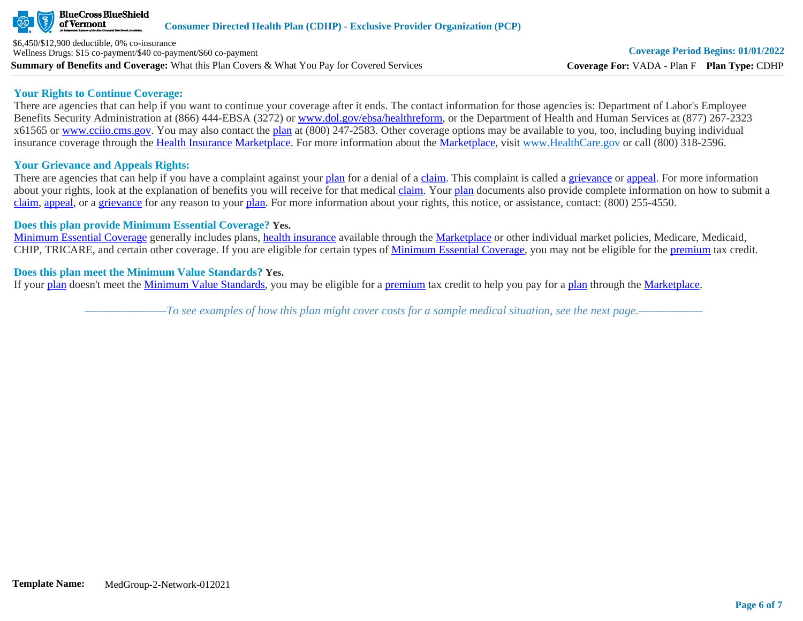

**Summary of Benefits and Coverage:** What this Plan Covers & What You Pay for Covered Services \$6,450/\$12,900 deductible, 0% co-insurance Wellness Drugs: \$15 co-payment/\$40 co-payment/\$60 co-payment

## **Your Rights to Continue Coverage:**

There are agencies that can help if you want to continue your coverage after it ends. The contact information for those agencies is: Department of Labor's Employee Benefits Security Administration at (866) 444-EBSA (3272) or [www.dol.gov/ebsa/healthreform](http://www.dol.gov/ebsa/healthreform), or the Department of Health and Human Services at (877) 267-2323 x61565 or [www.cciio.cms.gov](http://www.cciio.cms.gov/). You may also contact the [plan](https://www.healthcare.gov/sbc-glossary/#plan) at (800) 247-2583. Other coverage options may be available to you, too, including buying individual insurance coverage through the [Health Insurance](https://www.healthcare.gov/sbc-glossary/#health-insurance) [Marketplace.](https://www.healthcare.gov/sbc-glossary/#marketplace) For more information about the [Marketplace,](https://www.healthcare.gov/sbc-glossary/#marketplace) visit [www.HealthCare.gov](http://www.healthcare.gov/) or call (800) 318-2596.

# **Your Grievance and Appeals Rights:**

There are agencies that can help if you have a complaint against your [plan](https://www.healthcare.gov/sbc-glossary/#plan) for a denial of a [claim.](https://www.healthcare.gov/sbc-glossary/#claim) This complaint is called a [grievance](https://www.healthcare.gov/sbc-glossary/#grievance) or [appeal](https://www.healthcare.gov/sbc-glossary/#appeal). For more information about your rights, look at the explanation of benefits you will receive for that medical [claim](https://www.healthcare.gov/sbc-glossary/#claim). Your [plan](https://www.healthcare.gov/sbc-glossary/#plan) documents also provide complete information on how to submit a [claim](https://www.healthcare.gov/sbc-glossary/#claim), [appeal](https://www.healthcare.gov/sbc-glossary/#appeal), or a [grievance](https://www.healthcare.gov/sbc-glossary/#grievance) for any reason to your [plan.](https://www.healthcare.gov/sbc-glossary/#plan) For more information about your rights, this notice, or assistance, contact: (800) 255-4550.

# **Does this plan provide Minimum Essential Coverage? Yes.**

[Minimum Essential Coverage](https://www.healthcare.gov/sbc-glossary/#minimum-essential-coverage) generally includes plans, [health insurance](https://www.healthcare.gov/sbc-glossary/#health-insurance) available through the [Marketplace](https://www.healthcare.gov/sbc-glossary/#marketplace) or other individual market policies, Medicare, Medicaid, CHIP, TRICARE, and certain other coverage. If you are eligible for certain types of [Minimum Essential Coverage](https://www.healthcare.gov/sbc-glossary/#minimum-essential-coverage), you may not be eligible for the [premium](https://www.healthcare.gov/sbc-glossary/#premium) tax credit.

# **Does this plan meet the Minimum Value Standards? Yes.**

If your [plan](https://www.healthcare.gov/sbc-glossary/#plan) doesn't meet the [Minimum Value Standards](https://www.healthcare.gov/sbc-glossary/#minimum-value-standard), you may be eligible for a [premium](https://www.healthcare.gov/sbc-glossary/#premium) tax credit to help you pay for a [plan](https://www.healthcare.gov/sbc-glossary/#plan) through the [Marketplace](https://www.healthcare.gov/sbc-glossary/#marketplace).

*––––––––––––––To see examples of how this plan might cover costs for a sample medical situation, see the next page.–––––––––––*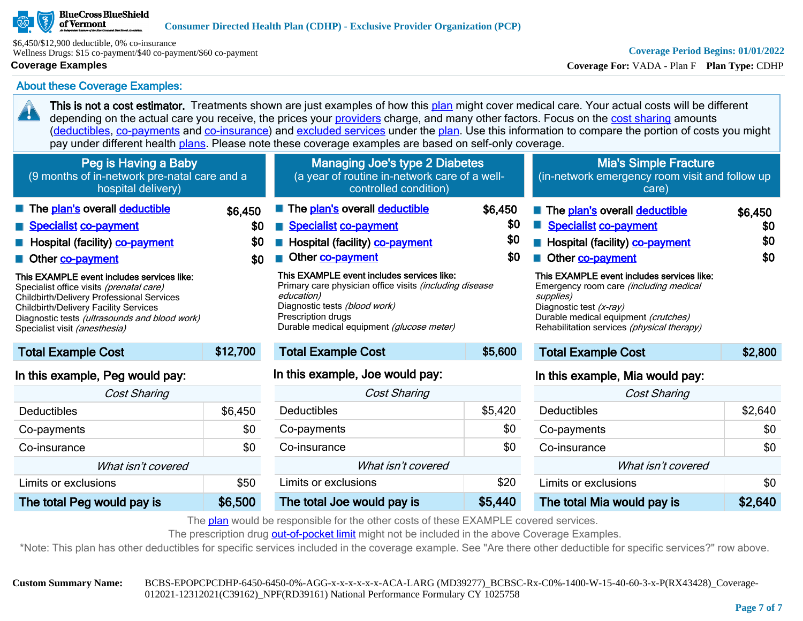## **BlueCross BlueShield** of Vermont

\$6,450/\$12,900 deductible, 0% co-insurance Wellness Drugs: \$15 co-payment/\$40 co-payment/\$60 co-payment

# **Coverage Examples**

20

# **Coverage Period Begins: 01/01/2022**

**Coverage For:** VADA - Plan F **Plan Type:** CDHP

About these Coverage Examples:

This is not a cost estimator. Treatments shown are just examples of how this [plan](https://www.healthcare.gov/sbc-glossary/#plan) might cover medical care. Your actual costs will be different depending on the actual care you receive, the prices your [providers](https://www.healthcare.gov/sbc-glossary/#provider) charge, and many other factors. Focus on the [cost sharing](https://www.healthcare.gov/sbc-glossary/#cost-sharing) amounts ([deductibles,](https://www.healthcare.gov/sbc-glossary/#deductible) [co-payments](https://www.healthcare.gov/sbc-glossary/#co-payment) and [co-insurance\)](https://www.healthcare.gov/sbc-glossary/#co-insurance) and [excluded services](https://www.healthcare.gov/sbc-glossary/#excluded-services) under the [plan](https://www.healthcare.gov/sbc-glossary/#plan). Use this information to compare the portion of costs you might pay under different health [plans.](https://www.healthcare.gov/sbc-glossary/#plan) Please note these coverage examples are based on self-only coverage.

| Peg is Having a Baby<br>(9 months of in-network pre-natal care and a<br>hospital delivery)                                                                                                                                                                                                                                                                                                   |                              | <b>Managing Joe's type 2 Diabetes</b><br>(a year of routine in-network care of a well-<br>controlled condition)                                                                                                                                                                                                                                |                              | <b>Mia's Simple Fracture</b><br>(in-network emergency room visit and follow up<br>care)                                                                                                                                                                                                                                                   |                              |
|----------------------------------------------------------------------------------------------------------------------------------------------------------------------------------------------------------------------------------------------------------------------------------------------------------------------------------------------------------------------------------------------|------------------------------|------------------------------------------------------------------------------------------------------------------------------------------------------------------------------------------------------------------------------------------------------------------------------------------------------------------------------------------------|------------------------------|-------------------------------------------------------------------------------------------------------------------------------------------------------------------------------------------------------------------------------------------------------------------------------------------------------------------------------------------|------------------------------|
| The plan's overall deductible<br>Specialist co-payment<br>Hospital (facility) <b>co-payment</b><br>Other co-payment<br>This EXAMPLE event includes services like:<br>Specialist office visits (prenatal care)<br>Childbirth/Delivery Professional Services<br><b>Childbirth/Delivery Facility Services</b><br>Diagnostic tests (ultrasounds and blood work)<br>Specialist visit (anesthesia) | \$6,450<br>\$0<br>\$0<br>\$0 | The plan's overall deductible<br><b>Specialist co-payment</b><br>Hospital (facility) co-payment<br>Other co-payment<br>This EXAMPLE event includes services like:<br>Primary care physician office visits (including disease<br>education)<br>Diagnostic tests (blood work)<br>Prescription drugs<br>Durable medical equipment (glucose meter) | \$6,450<br>\$0<br>\$0<br>\$0 | The plan's overall deductible<br><b>Specialist co-payment</b><br>Hospital (facility) co-payment<br>Other co-payment<br>This EXAMPLE event includes services like:<br>Emergency room care (including medical<br>supplies)<br>Diagnostic test (x-ray)<br>Durable medical equipment (crutches)<br>Rehabilitation services (physical therapy) | \$6,450<br>\$0<br>\$0<br>\$0 |
| <b>Total Example Cost</b>                                                                                                                                                                                                                                                                                                                                                                    | \$12,700                     | <b>Total Example Cost</b>                                                                                                                                                                                                                                                                                                                      | \$5,600                      | <b>Total Example Cost</b>                                                                                                                                                                                                                                                                                                                 | \$2,800                      |
| In this example, Peg would pay:<br><b>Cost Sharing</b>                                                                                                                                                                                                                                                                                                                                       |                              | In this example, Joe would pay:<br>Cost Sharing                                                                                                                                                                                                                                                                                                |                              | In this example, Mia would pay:<br><b>Cost Sharing</b>                                                                                                                                                                                                                                                                                    |                              |
| <b>Deductibles</b>                                                                                                                                                                                                                                                                                                                                                                           | \$6,450                      | <b>Deductibles</b>                                                                                                                                                                                                                                                                                                                             | \$5,420                      | Deductibles                                                                                                                                                                                                                                                                                                                               | \$2,640                      |

| <b>UUSI JHAHHY</b>         |         |  |
|----------------------------|---------|--|
| Deductibles                | \$6,450 |  |
| Co-payments                | \$0     |  |
| Co-insurance               | \$0     |  |
| What isn't covered         |         |  |
| Limits or exclusions       | \$50    |  |
| The total Peg would pay is | \$6,500 |  |

| <b>Cost Sharing</b>        |         |  |  |  |
|----------------------------|---------|--|--|--|
| Deductibles                | \$5,420 |  |  |  |
| Co-payments                | \$0     |  |  |  |
| Co-insurance               | \$0     |  |  |  |
| What isn't covered         |         |  |  |  |
| Limits or exclusions       | \$20    |  |  |  |
| The total Joe would pay is | \$5.440 |  |  |  |

| <b>Cost Sharing</b>        |         |  |  |
|----------------------------|---------|--|--|
| Deductibles                | \$2,640 |  |  |
| Co-payments                | \$0     |  |  |
| Co-insurance               | \$0     |  |  |
| What isn't covered         |         |  |  |
| Limits or exclusions       | \$0     |  |  |
| The total Mia would pay is | \$2,640 |  |  |

The [plan](https://www.healthcare.gov/sbc-glossary/#plan) would be responsible for the other costs of these EXAMPLE covered services.

The prescription drug [out-of-pocket limit](https://www.healthcare.gov/sbc-glossary/#out-of-pocket-limit) might not be included in the above Coverage Examples.

\*Note: This plan has other deductibles for specific services included in the coverage example. See "Are there other deductible for specific services?" row above.

**Custom Summary Name:** BCBS-EPOPCPCDHP-6450-6450-0%-AGG-x-x-x-x-x-x-ACA-LARG (MD39277)\_BCBSC-Rx-C0%-1400-W-15-40-60-3-x-P(RX43428)\_Coverage-012021-12312021(C39162)\_NPF(RD39161) National Performance Formulary CY 1025758